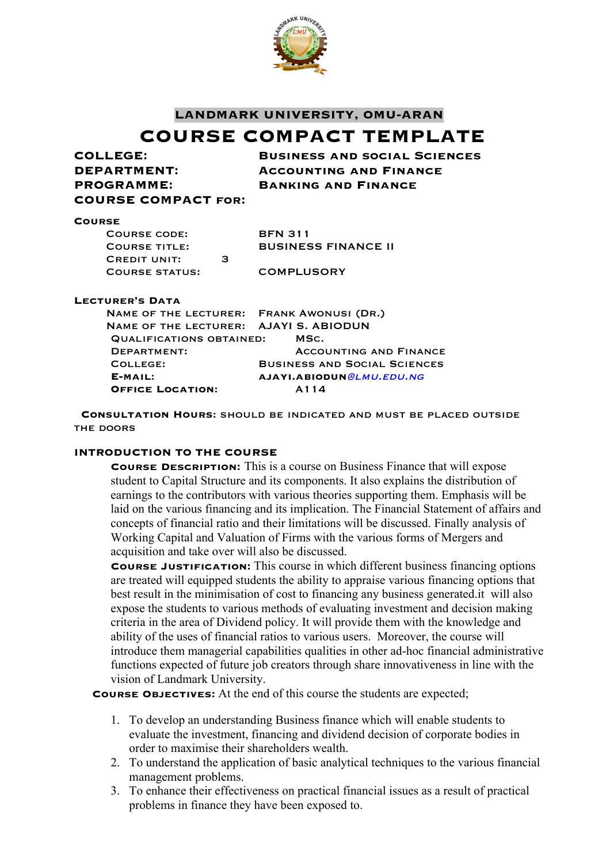

#### **LANDMARK UNIVERSITY, OMU-ARAN**

# **COURSE COMPACT TEMPLATE**

| COLLEGE:                   | <b>BUSINESS AND SOCIAL SCIENCES</b> |
|----------------------------|-------------------------------------|
| DEPARTMENT:                | <b>ACCOUNTING AND FINANCE</b>       |
| <b>PROGRAMME:</b>          | <b>BANKING AND FINANCE</b>          |
| <b>COURSE COMPACT FOR:</b> |                                     |
| <b>COURSE</b>              |                                     |

| COURSE CODE:          |   | <b>BFN 311</b>      |
|-----------------------|---|---------------------|
| <b>COURSE TITLE:</b>  |   | <b>BUSINESS FIN</b> |
| <b>CREDIT UNIT:</b>   | з |                     |
| <b>COURSE STATUS:</b> |   | <b>COMPLUSORY</b>   |

**BFN 311 BUSINESS FINANCE II** 

#### **Lecturer's Data**

| NAME OF THE LECTURER: FRANK AWONUSI (DR.) |                                     |
|-------------------------------------------|-------------------------------------|
| NAME OF THE LECTURER: AJAYI S. ABIODUN    |                                     |
| QUALIFICATIONS OBTAINED:                  | MSC.                                |
| DEPARTMENT:                               | <b>ACCOUNTING AND FINANCE</b>       |
| COLLEGE:                                  | <b>BUSINESS AND SOCIAL SCIENCES</b> |
| $E-MAIL:$                                 | AJAYI.ABIODUN@LMU.EDU.NG            |
| <b>OFFICE LOCATION:</b>                   | A114                                |

**Consultation Hours**: should be indicated and must be placed outside THE DOORS

#### **INTRODUCTION TO THE COURSE**

**Course Description:** This is a course on Business Finance that will expose student to Capital Structure and its components. It also explains the distribution of earnings to the contributors with various theories supporting them. Emphasis will be laid on the various financing and its implication. The Financial Statement of affairs and concepts of financial ratio and their limitations will be discussed. Finally analysis of Working Capital and Valuation of Firms with the various forms of Mergers and acquisition and take over will also be discussed.

**Course Justification:** This course in which different business financing options are treated will equipped students the ability to appraise various financing options that best result in the minimisation of cost to financing any business generated.it will also expose the students to various methods of evaluating investment and decision making criteria in the area of Dividend policy. It will provide them with the knowledge and ability of the uses of financial ratios to various users. Moreover, the course will introduce them managerial capabilities qualities in other ad-hoc financial administrative functions expected of future job creators through share innovativeness in line with the vision of Landmark University.

**Course Objectives:** At the end of this course the students are expected;

- 1. To develop an understanding Business finance which will enable students to evaluate the investment, financing and dividend decision of corporate bodies in order to maximise their shareholders wealth.
- 2. To understand the application of basic analytical techniques to the various financial management problems.
- 3. To enhance their effectiveness on practical financial issues as a result of practical problems in finance they have been exposed to.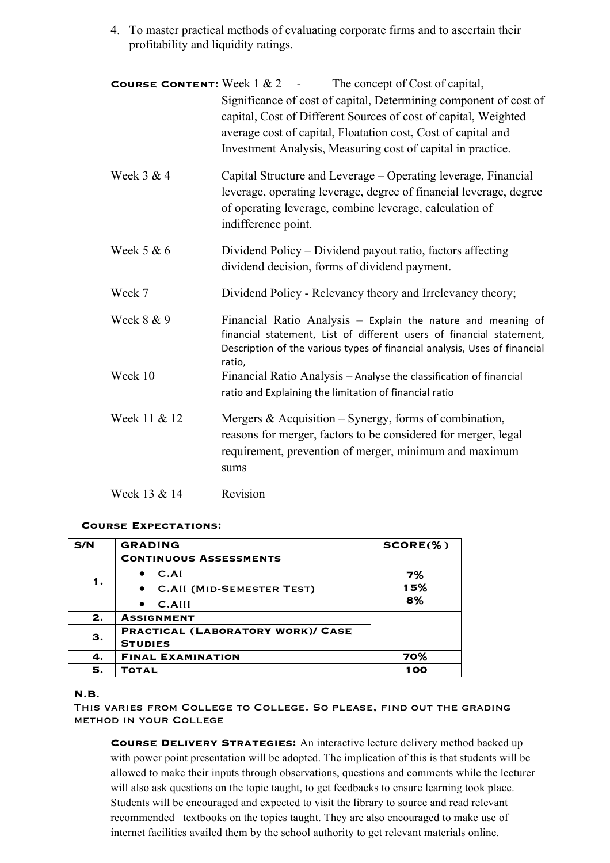4. To master practical methods of evaluating corporate firms and to ascertain their profitability and liquidity ratings.

| <b>COURSE CONTENT:</b> Week $1 \& 2$ - | The concept of Cost of capital,<br>Significance of cost of capital, Determining component of cost of<br>capital, Cost of Different Sources of cost of capital, Weighted<br>average cost of capital, Floatation cost, Cost of capital and<br>Investment Analysis, Measuring cost of capital in practice. |
|----------------------------------------|---------------------------------------------------------------------------------------------------------------------------------------------------------------------------------------------------------------------------------------------------------------------------------------------------------|
| Week 3 & 4                             | Capital Structure and Leverage – Operating leverage, Financial<br>leverage, operating leverage, degree of financial leverage, degree<br>of operating leverage, combine leverage, calculation of<br>indifference point.                                                                                  |
| Week 5 & 6                             | Dividend Policy – Dividend payout ratio, factors affecting<br>dividend decision, forms of dividend payment.                                                                                                                                                                                             |
| Week 7                                 | Dividend Policy - Relevancy theory and Irrelevancy theory;                                                                                                                                                                                                                                              |
| Week 8 & 9                             | Financial Ratio Analysis - Explain the nature and meaning of<br>financial statement, List of different users of financial statement,<br>Description of the various types of financial analysis, Uses of financial<br>ratio,                                                                             |
| Week 10                                | Financial Ratio Analysis - Analyse the classification of financial<br>ratio and Explaining the limitation of financial ratio                                                                                                                                                                            |
| Week 11 & 12                           | Mergers $\&$ Acquisition – Synergy, forms of combination,<br>reasons for merger, factors to be considered for merger, legal<br>requirement, prevention of merger, minimum and maximum<br>sums                                                                                                           |
| Week 13 & 14                           | Revision                                                                                                                                                                                                                                                                                                |

#### **Course Expectations:**

| S/N | <b>GRADING</b>                           | $SCORE(\% )$ |
|-----|------------------------------------------|--------------|
|     | <b>CONTINUOUS ASSESSMENTS</b>            |              |
|     | C.AI                                     | 7%           |
| 1.  | • C.AII (MID-SEMESTER TEST)              | 15%          |
|     | $C.$ AIII                                | 8%           |
| 2.  | <b>ASSIGNMENT</b>                        |              |
| З.  | <b>PRACTICAL (LABORATORY WORK)/ CASE</b> |              |
|     | <b>STUDIES</b>                           |              |
| 4.  | <b>FINAL EXAMINATION</b>                 | 70%          |
| 5.  | <b>TOTAL</b>                             | 100          |

#### **N.B**.

This varies from College to College. So please, find out the grading method in your College

**Course Delivery Strategies:** An interactive lecture delivery method backed up with power point presentation will be adopted. The implication of this is that students will be allowed to make their inputs through observations, questions and comments while the lecturer will also ask questions on the topic taught, to get feedbacks to ensure learning took place. Students will be encouraged and expected to visit the library to source and read relevant recommended textbooks on the topics taught. They are also encouraged to make use of internet facilities availed them by the school authority to get relevant materials online.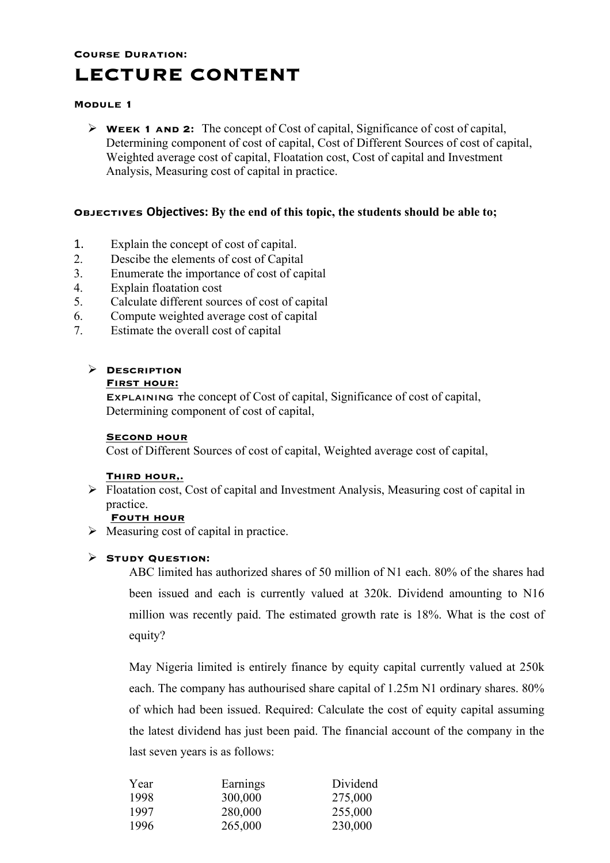# **Course Duration: LECTURE CONTENT**

#### **Module 1**

Ø **Week 1 and 2:** The concept of Cost of capital, Significance of cost of capital, Determining component of cost of capital, Cost of Different Sources of cost of capital, Weighted average cost of capital, Floatation cost, Cost of capital and Investment Analysis, Measuring cost of capital in practice.

#### **Objectives Objectives: By the end of this topic, the students should be able to;**

- 1. Explain the concept of cost of capital.
- 2. Descibe the elements of cost of Capital
- 3. Enumerate the importance of cost of capital
- 4. Explain floatation cost
- 5. Calculate different sources of cost of capital
- 6. Compute weighted average cost of capital
- 7. Estimate the overall cost of capital

## Ø **Description**

#### **First hour:**

Explaining the concept of Cost of capital, Significance of cost of capital, Determining component of cost of capital,

#### **Second hour**

Cost of Different Sources of cost of capital, Weighted average cost of capital,

#### **Third hour,.**

 $\triangleright$  Floatation cost, Cost of capital and Investment Analysis, Measuring cost of capital in practice.

#### **Fouth hour**

 $\triangleright$  Measuring cost of capital in practice.

## Ø **Study Question:**

ABC limited has authorized shares of 50 million of N1 each. 80% of the shares had been issued and each is currently valued at 320k. Dividend amounting to N16 million was recently paid. The estimated growth rate is 18%. What is the cost of equity?

May Nigeria limited is entirely finance by equity capital currently valued at 250k each. The company has authourised share capital of 1.25m N1 ordinary shares. 80% of which had been issued. Required: Calculate the cost of equity capital assuming the latest dividend has just been paid. The financial account of the company in the last seven years is as follows:

| Year | Earnings | Dividend |
|------|----------|----------|
| 1998 | 300,000  | 275,000  |
| 1997 | 280,000  | 255,000  |
| 1996 | 265,000  | 230,000  |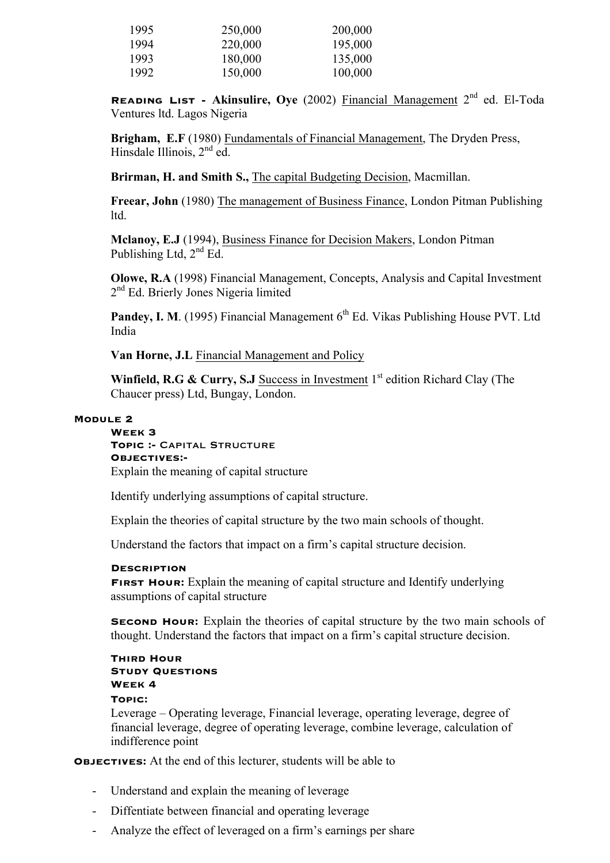| 1995 | 250,000 | 200,000 |
|------|---------|---------|
| 1994 | 220,000 | 195,000 |
| 1993 | 180,000 | 135,000 |
| 1992 | 150,000 | 100,000 |

**Reading List - Akinsulire, Oye** (2002) Financial Management 2nd ed. El-Toda Ventures ltd. Lagos Nigeria

**Brigham, E.F** (1980) Fundamentals of Financial Management, The Dryden Press, Hinsdale Illinois,  $2<sup>nd</sup>$  ed.

**Brirman, H. and Smith S.,** The capital Budgeting Decision, Macmillan.

**Freear, John** (1980) The management of Business Finance, London Pitman Publishing ltd.

**Mclanoy, E.J** (1994), Business Finance for Decision Makers, London Pitman Publishing Ltd,  $2<sup>nd</sup> Ed$ .

**Olowe, R.A** (1998) Financial Management, Concepts, Analysis and Capital Investment 2<sup>nd</sup> Ed. Brierly Jones Nigeria limited

**Pandey, I. M.** (1995) Financial Management 6<sup>th</sup> Ed. Vikas Publishing House PVT. Ltd India

**Van Horne, J.L** Financial Management and Policy

**Winfield, R.G & Curry, S.J** Success in Investment 1<sup>st</sup> edition Richard Clay (The Chaucer press) Ltd, Bungay, London.

#### **Module 2**

**Week 3 Topic :-** Capital Structure **Objectives:-** Explain the meaning of capital structure

Identify underlying assumptions of capital structure.

Explain the theories of capital structure by the two main schools of thought.

Understand the factors that impact on a firm's capital structure decision.

#### **Description**

**FIRST HOUR:** Explain the meaning of capital structure and Identify underlying assumptions of capital structure

**SECOND HOUR:** Explain the theories of capital structure by the two main schools of thought. Understand the factors that impact on a firm's capital structure decision.

#### **Third Hour Study Questions Week 4**

## **Topic:**

Leverage – Operating leverage, Financial leverage, operating leverage, degree of financial leverage, degree of operating leverage, combine leverage, calculation of indifference point

**Objectives:** At the end of this lecturer, students will be able to

- Understand and explain the meaning of leverage
- Diffentiate between financial and operating leverage
- Analyze the effect of leveraged on a firm's earnings per share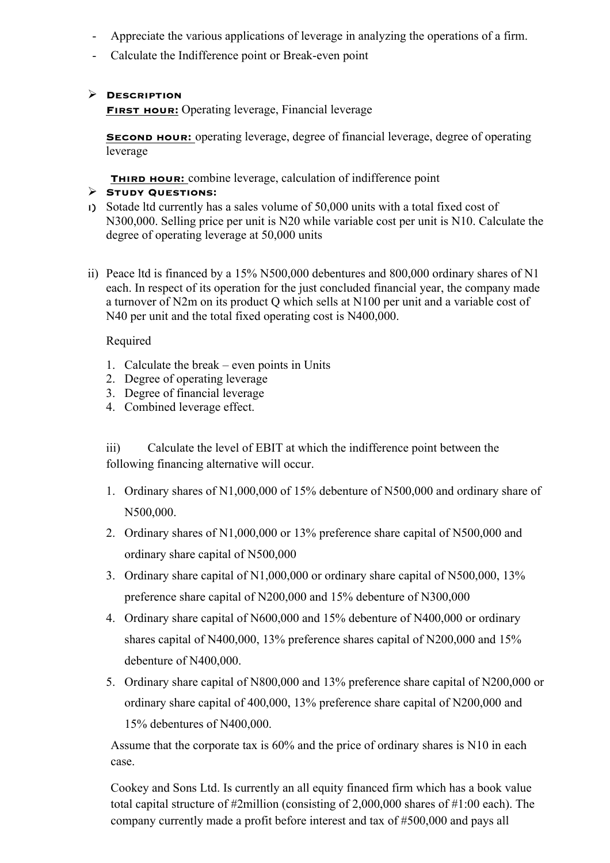- Appreciate the various applications of leverage in analyzing the operations of a firm.
- Calculate the Indifference point or Break-even point

## Ø **Description**

**FIRST HOUR:** Operating leverage, Financial leverage

**SECOND HOUR:** operating leverage, degree of financial leverage, degree of operating leverage

**THIRD HOUR:** combine leverage, calculation of indifference point

## Ø **Study Questions:**

- i) Sotade ltd currently has a sales volume of 50,000 units with a total fixed cost of N300,000. Selling price per unit is N20 while variable cost per unit is N10. Calculate the degree of operating leverage at 50,000 units
- ii) Peace ltd is financed by a 15% N500,000 debentures and 800,000 ordinary shares of N1 each. In respect of its operation for the just concluded financial year, the company made a turnover of N2m on its product Q which sells at N100 per unit and a variable cost of N40 per unit and the total fixed operating cost is N400,000.

## Required

- 1. Calculate the break even points in Units
- 2. Degree of operating leverage
- 3. Degree of financial leverage
- 4. Combined leverage effect.

iii) Calculate the level of EBIT at which the indifference point between the following financing alternative will occur.

- 1. Ordinary shares of N1,000,000 of 15% debenture of N500,000 and ordinary share of N500,000.
- 2. Ordinary shares of N1,000,000 or 13% preference share capital of N500,000 and ordinary share capital of N500,000
- 3. Ordinary share capital of N1,000,000 or ordinary share capital of N500,000, 13% preference share capital of N200,000 and 15% debenture of N300,000
- 4. Ordinary share capital of N600,000 and 15% debenture of N400,000 or ordinary shares capital of N400,000, 13% preference shares capital of N200,000 and 15% debenture of N400,000.
- 5. Ordinary share capital of N800,000 and 13% preference share capital of N200,000 or ordinary share capital of 400,000, 13% preference share capital of N200,000 and 15% debentures of N400,000.

Assume that the corporate tax is 60% and the price of ordinary shares is N10 in each case.

Cookey and Sons Ltd. Is currently an all equity financed firm which has a book value total capital structure of #2million (consisting of 2,000,000 shares of #1:00 each). The company currently made a profit before interest and tax of #500,000 and pays all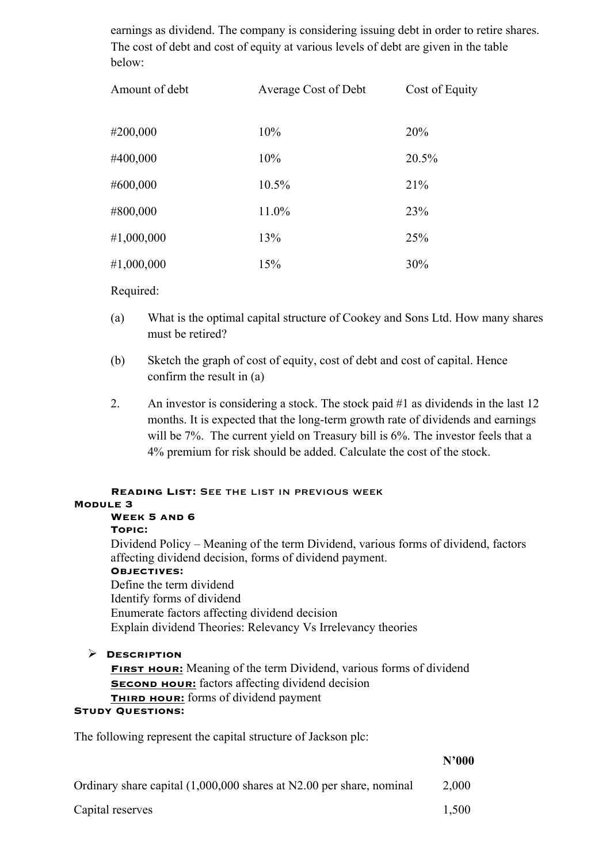earnings as dividend. The company is considering issuing debt in order to retire shares. The cost of debt and cost of equity at various levels of debt are given in the table below:

| Amount of debt | Average Cost of Debt | Cost of Equity |
|----------------|----------------------|----------------|
| #200,000       | 10%                  | 20%            |
| #400,000       | 10%                  | 20.5%          |
| #600,000       | 10.5%                | 21%            |
| #800,000       | 11.0%                | 23%            |
| #1,000,000     | 13%                  | 25%            |
| #1,000,000     | 15%                  | 30%            |

Required:

- (a) What is the optimal capital structure of Cookey and Sons Ltd. How many shares must be retired?
- (b) Sketch the graph of cost of equity, cost of debt and cost of capital. Hence confirm the result in (a)
- 2. An investor is considering a stock. The stock paid #1 as dividends in the last 12 months. It is expected that the long-term growth rate of dividends and earnings will be 7%. The current yield on Treasury bill is 6%. The investor feels that a 4% premium for risk should be added. Calculate the cost of the stock.

## **Reading List:** See the list in previous week **Module 3 Week 5 and 6 Topic:**  Dividend Policy – Meaning of the term Dividend, various forms of dividend, factors affecting dividend decision, forms of dividend payment. **Objectives:** Define the term dividend

Identify forms of dividend Enumerate factors affecting dividend decision Explain dividend Theories: Relevancy Vs Irrelevancy theories

## Ø **Description**

**First hour:** Meaning of the term Dividend, various forms of dividend **SECOND HOUR:** factors affecting dividend decision **THIRD HOUR:** forms of dividend payment

#### **Study Questions:**

The following represent the capital structure of Jackson plc:

**N'000**

| Ordinary share capital (1,000,000 shares at N2.00 per share, nominal | 2,000 |
|----------------------------------------------------------------------|-------|
|----------------------------------------------------------------------|-------|

Capital reserves 1,500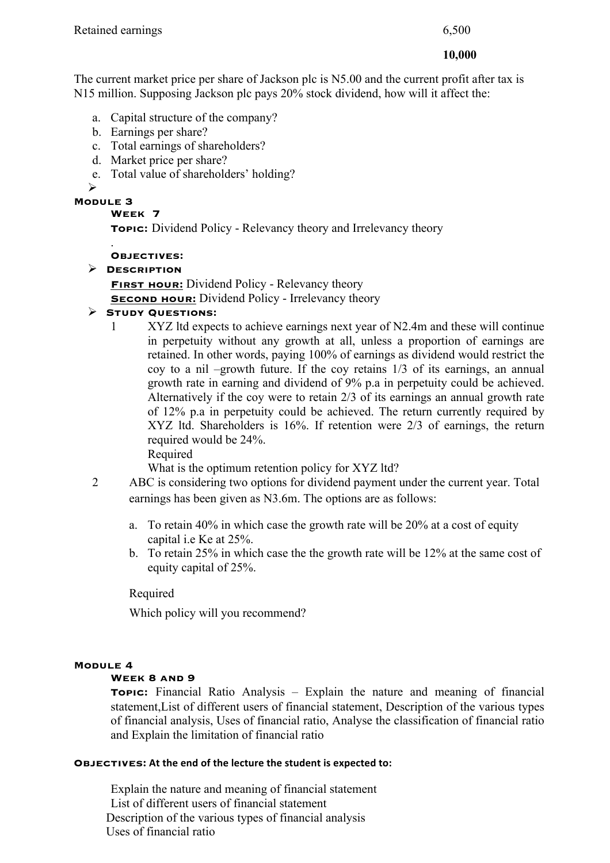#### **10,000**

The current market price per share of Jackson plc is N5.00 and the current profit after tax is N15 million. Supposing Jackson plc pays 20% stock dividend, how will it affect the:

- a. Capital structure of the company?
- b. Earnings per share?
- c. Total earnings of shareholders?
- d. Market price per share?
- e. Total value of shareholders' holding?

Ø

#### **Module 3**

**Week 7**

**Topic:** Dividend Policy - Relevancy theory and Irrelevancy theory

#### . **Objectives:**

Ø **Description**

**FIRST HOUR:** Dividend Policy - Relevancy theory **SECOND HOUR:** Dividend Policy - Irrelevancy theory

## Ø **Study Questions:**

1 XYZ ltd expects to achieve earnings next year of N2.4m and these will continue in perpetuity without any growth at all, unless a proportion of earnings are retained. In other words, paying 100% of earnings as dividend would restrict the coy to a nil –growth future. If the coy retains 1/3 of its earnings, an annual growth rate in earning and dividend of 9% p.a in perpetuity could be achieved. Alternatively if the coy were to retain 2/3 of its earnings an annual growth rate of 12% p.a in perpetuity could be achieved. The return currently required by XYZ ltd. Shareholders is 16%. If retention were 2/3 of earnings, the return required would be 24%. Required

What is the optimum retention policy for XYZ ltd?

- 2 ABC is considering two options for dividend payment under the current year. Total earnings has been given as N3.6m. The options are as follows:
	- a. To retain 40% in which case the growth rate will be 20% at a cost of equity capital i.e Ke at 25%.
	- b. To retain 25% in which case the the growth rate will be 12% at the same cost of equity capital of 25%.

Required

Which policy will you recommend?

## **Module 4**

## **Week 8 and 9**

**Topic:** Financial Ratio Analysis – Explain the nature and meaning of financial statement,List of different users of financial statement, Description of the various types of financial analysis, Uses of financial ratio, Analyse the classification of financial ratio and Explain the limitation of financial ratio

#### **OBJECTIVES:** At the end of the lecture the student is expected to:

Explain the nature and meaning of financial statement List of different users of financial statement Description of the various types of financial analysis Uses of financial ratio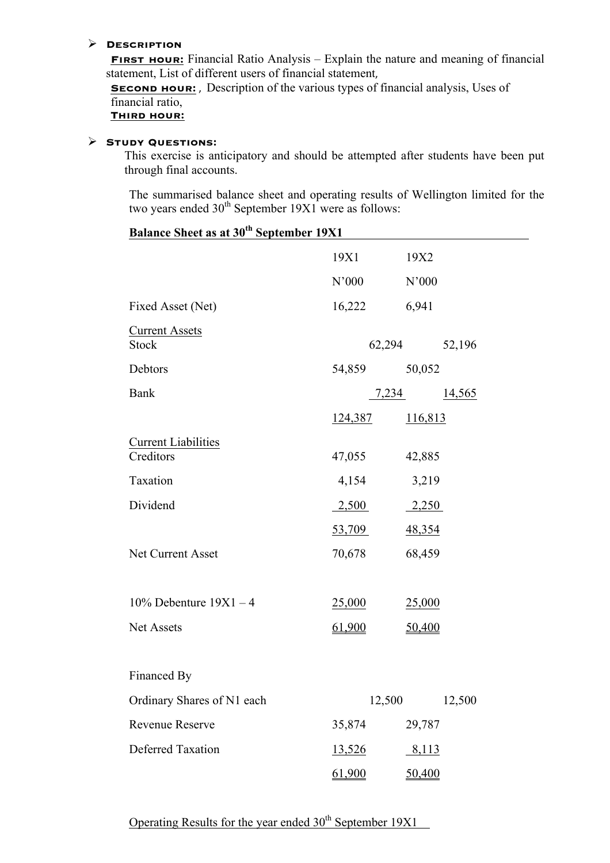#### Ø **Description**

**FIRST HOUR:** Financial Ratio Analysis – Explain the nature and meaning of financial statement, List of different users of financial statement,

**SECOND HOUR:**, Description of the various types of financial analysis, Uses of financial ratio,

**Third hour:**

#### Ø **Study Questions:**

This exercise is anticipatory and should be attempted after students have been put through final accounts.

The summarised balance sheet and operating results of Wellington limited for the two years ended  $30<sup>th</sup>$  September 19X1 were as follows:

| <u>Balance Sheet as at 30" September 19X1</u> |                |                |
|-----------------------------------------------|----------------|----------------|
|                                               | 19X1           | 19X2           |
|                                               | N'000          | N'000          |
| Fixed Asset (Net)                             | 16,222         | 6,941          |
| <b>Current Assets</b><br><b>Stock</b>         | 62,294         | 52,196         |
| Debtors                                       | 54,859         | 50,052         |
| <b>Bank</b>                                   | 7,234          | <u>14,565</u>  |
|                                               | <u>124,387</u> | <u>116,813</u> |
| <b>Current Liabilities</b><br>Creditors       | 47,055         | 42,885         |
| Taxation                                      | 4,154          | 3,219          |
| Dividend                                      | 2,500          | 2,250          |
|                                               | 53,709         | 48,354         |
| Net Current Asset                             | 70,678         | 68,459         |
|                                               |                |                |
| $10\%$ Debenture $19X1 - 4$                   | 25,000         | 25,000         |
| Net Assets                                    | 61,900         | 50,400         |
|                                               |                |                |
| Financed By                                   |                |                |
| Ordinary Shares of N1 each                    | 12,500         | 12,500         |
| <b>Revenue Reserve</b>                        | 35,874         | 29,787         |
| <b>Deferred Taxation</b>                      | <u>13,526</u>  | <u>8,113</u>   |
|                                               | 61,900         | <u>50,400</u>  |

# $B_1 = S_1$  **September 1931**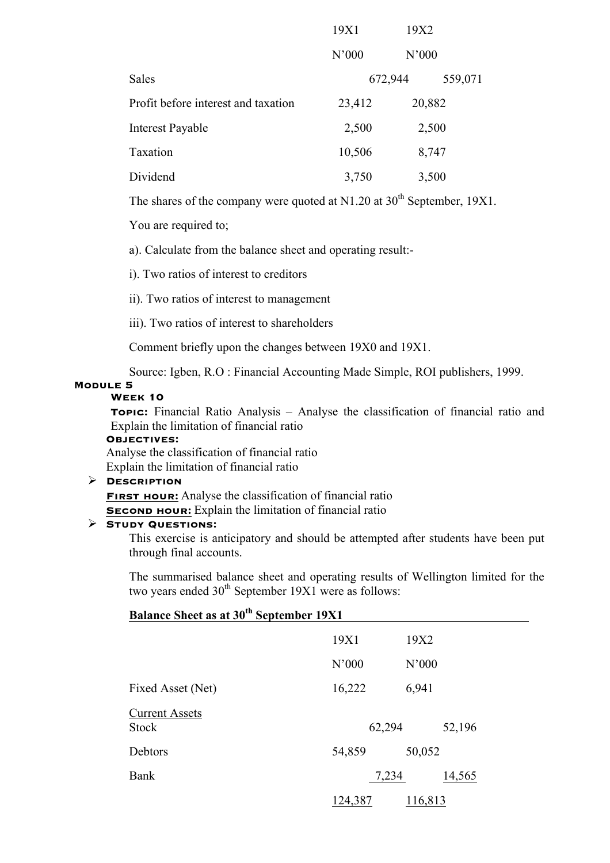|                                     | 19X1   | 19X2    |         |
|-------------------------------------|--------|---------|---------|
|                                     | N'000  | N'000   |         |
| <b>Sales</b>                        |        | 672,944 | 559,071 |
| Profit before interest and taxation | 23,412 | 20,882  |         |
| <b>Interest Payable</b>             | 2,500  |         | 2,500   |
| Taxation                            | 10,506 |         | 8,747   |
| Dividend                            | 3,750  |         | 3,500   |

The shares of the company were quoted at N1.20 at  $30<sup>th</sup>$  September, 19X1.

You are required to;

a). Calculate from the balance sheet and operating result:-

i). Two ratios of interest to creditors

ii). Two ratios of interest to management

iii). Two ratios of interest to shareholders

Comment briefly upon the changes between 19X0 and 19X1.

Source: Igben, R.O : Financial Accounting Made Simple, ROI publishers, 1999.

#### **Module 5**

#### **Week 10**

**Topic:** Financial Ratio Analysis – Analyse the classification of financial ratio and Explain the limitation of financial ratio

#### **Objectives:**

Analyse the classification of financial ratio Explain the limitation of financial ratio

#### Ø **Description**

**FIRST HOUR:** Analyse the classification of financial ratio

**SECOND HOUR:** Explain the limitation of financial ratio

#### Ø **Study Questions:**

This exercise is anticipatory and should be attempted after students have been put through final accounts.

The summarised balance sheet and operating results of Wellington limited for the two years ended  $30<sup>th</sup>$  September 19X1 were as follows:

## **Balance Sheet as at 30th September 19X1**

|                                       | 19X1    | 19X2    |
|---------------------------------------|---------|---------|
|                                       | N'000   | N'000   |
| Fixed Asset (Net)                     | 16,222  | 6,941   |
| <b>Current Assets</b><br><b>Stock</b> | 62,294  | 52,196  |
| Debtors                               | 54,859  | 50,052  |
| Bank                                  | 7,234   | 14,565  |
|                                       | 124,387 | 116,813 |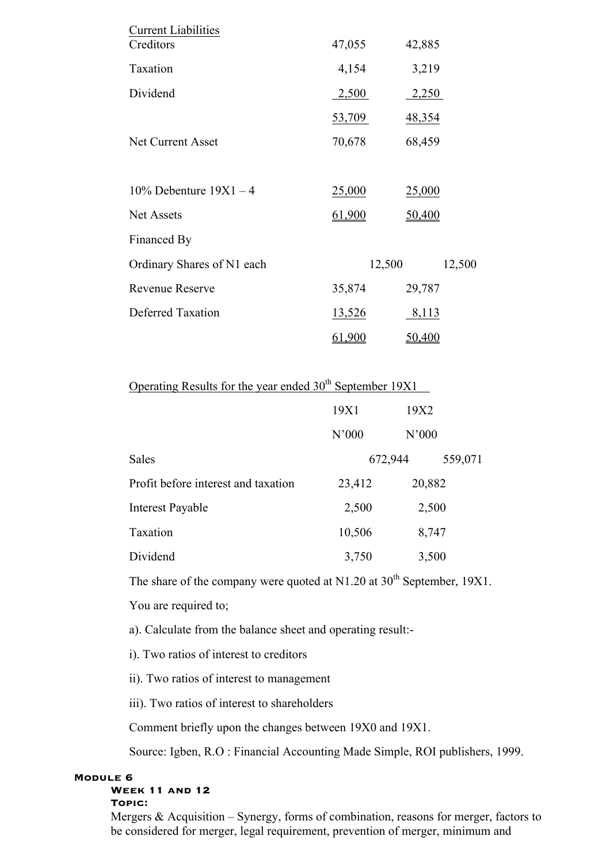| <b>Current Liabilities</b>  |               |               |
|-----------------------------|---------------|---------------|
| Creditors                   | 47,055        | 42,885        |
| Taxation                    | 4,154         | 3,219         |
| Dividend                    | 2,500         | 2,250         |
|                             | 53,709        | <u>48,354</u> |
| <b>Net Current Asset</b>    | 70,678        | 68,459        |
|                             |               |               |
| $10\%$ Debenture $19X1 - 4$ | 25,000        | 25,000        |
| <b>Net Assets</b>           | 61,900        | 50,400        |
| Financed By                 |               |               |
| Ordinary Shares of N1 each  | 12,500        | 12,500        |
| <b>Revenue Reserve</b>      | 35,874        | 29,787        |
| <b>Deferred Taxation</b>    | <u>13,526</u> | 8,113         |
|                             | 61,900        | 50,400        |

## Operating Results for the year ended  $30<sup>th</sup>$  September 19X1

|                                     | 19X1    | 19X2    |  |
|-------------------------------------|---------|---------|--|
|                                     | N'000   | N'000   |  |
| Sales                               | 672,944 | 559,071 |  |
| Profit before interest and taxation | 23,412  | 20,882  |  |
| <b>Interest Payable</b>             | 2,500   | 2,500   |  |
| Taxation                            | 10,506  | 8,747   |  |
| Dividend                            | 3,750   | 3,500   |  |

The share of the company were quoted at  $N1.20$  at  $30<sup>th</sup>$  September, 19X1.

You are required to;

a). Calculate from the balance sheet and operating result:-

i). Two ratios of interest to creditors

ii). Two ratios of interest to management

iii). Two ratios of interest to shareholders

Comment briefly upon the changes between 19X0 and 19X1.

Source: Igben, R.O : Financial Accounting Made Simple, ROI publishers, 1999.

#### **Module 6**

#### **Week 11 and 12 Topic:**

Mergers  $\&$  Acquisition – Synergy, forms of combination, reasons for merger, factors to be considered for merger, legal requirement, prevention of merger, minimum and